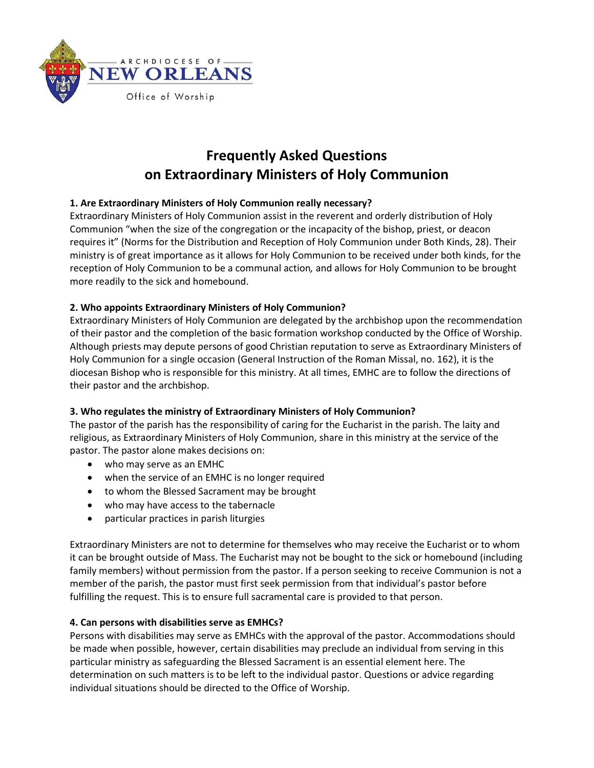

# **Frequently Asked Questions on Extraordinary Ministers of Holy Communion**

# **1. Are Extraordinary Ministers of Holy Communion really necessary?**

Extraordinary Ministers of Holy Communion assist in the reverent and orderly distribution of Holy Communion "when the size of the congregation or the incapacity of the bishop, priest, or deacon requires it" (Norms for the Distribution and Reception of Holy Communion under Both Kinds, 28). Their ministry is of great importance as it allows for Holy Communion to be received under both kinds, for the reception of Holy Communion to be a communal action*,* and allows for Holy Communion to be brought more readily to the sick and homebound.

# **2. Who appoints Extraordinary Ministers of Holy Communion?**

Extraordinary Ministers of Holy Communion are delegated by the archbishop upon the recommendation of their pastor and the completion of the basic formation workshop conducted by the Office of Worship. Although priests may depute persons of good Christian reputation to serve as Extraordinary Ministers of Holy Communion for a single occasion (General Instruction of the Roman Missal, no. 162), it is the diocesan Bishop who is responsible for this ministry. At all times, EMHC are to follow the directions of their pastor and the archbishop.

## **3. Who regulates the ministry of Extraordinary Ministers of Holy Communion?**

The pastor of the parish has the responsibility of caring for the Eucharist in the parish. The laity and religious, as Extraordinary Ministers of Holy Communion, share in this ministry at the service of the pastor. The pastor alone makes decisions on:

- who may serve as an EMHC
- when the service of an EMHC is no longer required
- to whom the Blessed Sacrament may be brought
- who may have access to the tabernacle
- particular practices in parish liturgies

Extraordinary Ministers are not to determine for themselves who may receive the Eucharist or to whom it can be brought outside of Mass. The Eucharist may not be bought to the sick or homebound (including family members) without permission from the pastor. If a person seeking to receive Communion is not a member of the parish, the pastor must first seek permission from that individual's pastor before fulfilling the request. This is to ensure full sacramental care is provided to that person.

## **4. Can persons with disabilities serve as EMHCs?**

Persons with disabilities may serve as EMHCs with the approval of the pastor. Accommodations should be made when possible, however, certain disabilities may preclude an individual from serving in this particular ministry as safeguarding the Blessed Sacrament is an essential element here. The determination on such matters is to be left to the individual pastor. Questions or advice regarding individual situations should be directed to the Office of Worship.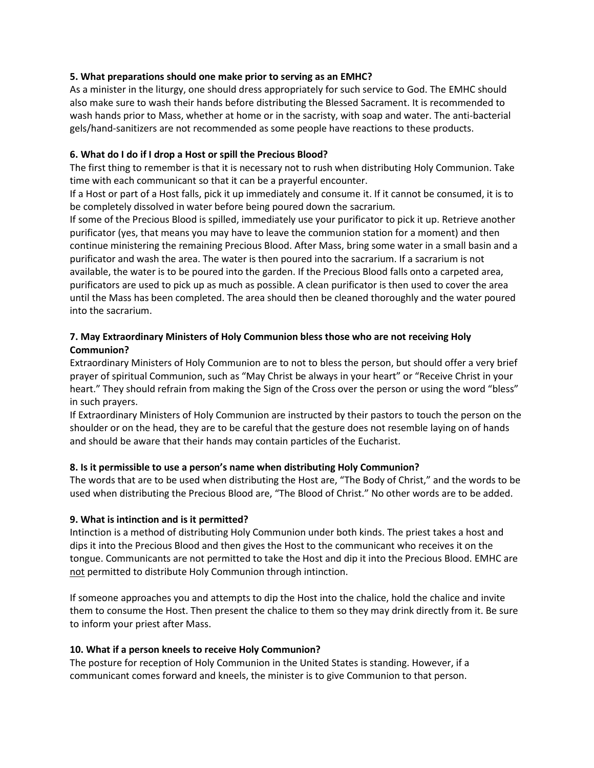## **5. What preparations should one make prior to serving as an EMHC?**

As a minister in the liturgy, one should dress appropriately for such service to God. The EMHC should also make sure to wash their hands before distributing the Blessed Sacrament. It is recommended to wash hands prior to Mass, whether at home or in the sacristy, with soap and water. The anti-bacterial gels/hand-sanitizers are not recommended as some people have reactions to these products.

# **6. What do I do if I drop a Host or spill the Precious Blood?**

The first thing to remember is that it is necessary not to rush when distributing Holy Communion. Take time with each communicant so that it can be a prayerful encounter.

If a Host or part of a Host falls, pick it up immediately and consume it. If it cannot be consumed, it is to be completely dissolved in water before being poured down the sacrarium*.*

If some of the Precious Blood is spilled, immediately use your purificator to pick it up. Retrieve another purificator (yes, that means you may have to leave the communion station for a moment) and then continue ministering the remaining Precious Blood. After Mass, bring some water in a small basin and a purificator and wash the area. The water is then poured into the sacrarium. If a sacrarium is not available, the water is to be poured into the garden. If the Precious Blood falls onto a carpeted area, purificators are used to pick up as much as possible. A clean purificator is then used to cover the area until the Mass has been completed. The area should then be cleaned thoroughly and the water poured into the sacrarium.

# **7. May Extraordinary Ministers of Holy Communion bless those who are not receiving Holy Communion?**

Extraordinary Ministers of Holy Communion are to not to bless the person, but should offer a very brief prayer of spiritual Communion, such as "May Christ be always in your heart" or "Receive Christ in your heart." They should refrain from making the Sign of the Cross over the person or using the word "bless" in such prayers.

If Extraordinary Ministers of Holy Communion are instructed by their pastors to touch the person on the shoulder or on the head, they are to be careful that the gesture does not resemble laying on of hands and should be aware that their hands may contain particles of the Eucharist.

# **8. Is it permissible to use a person's name when distributing Holy Communion?**

The words that are to be used when distributing the Host are, "The Body of Christ," and the words to be used when distributing the Precious Blood are, "The Blood of Christ." No other words are to be added.

# **9. What is intinction and is it permitted?**

Intinction is a method of distributing Holy Communion under both kinds. The priest takes a host and dips it into the Precious Blood and then gives the Host to the communicant who receives it on the tongue. Communicants are not permitted to take the Host and dip it into the Precious Blood. EMHC are not permitted to distribute Holy Communion through intinction.

If someone approaches you and attempts to dip the Host into the chalice, hold the chalice and invite them to consume the Host. Then present the chalice to them so they may drink directly from it. Be sure to inform your priest after Mass.

# **10. What if a person kneels to receive Holy Communion?**

The posture for reception of Holy Communion in the United States is standing. However, if a communicant comes forward and kneels, the minister is to give Communion to that person.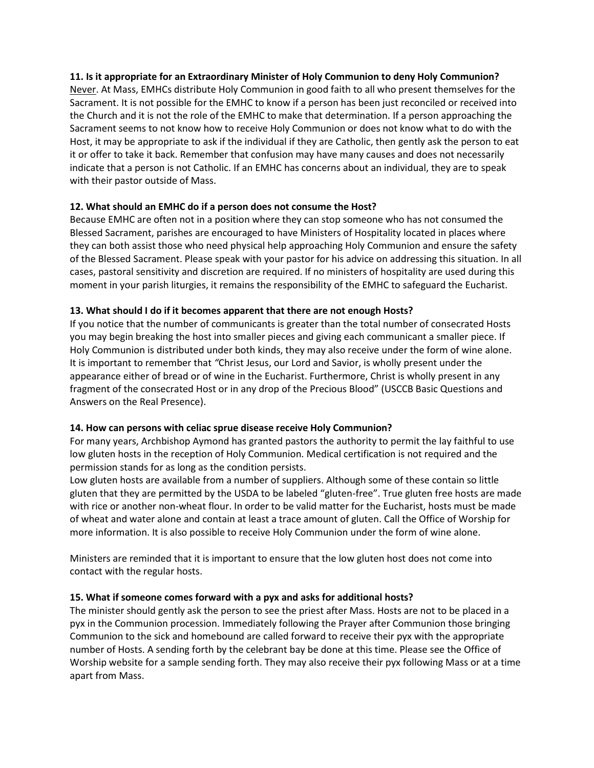## **11. Is it appropriate for an Extraordinary Minister of Holy Communion to deny Holy Communion?**

Never. At Mass, EMHCs distribute Holy Communion in good faith to all who present themselves for the Sacrament. It is not possible for the EMHC to know if a person has been just reconciled or received into the Church and it is not the role of the EMHC to make that determination. If a person approaching the Sacrament seems to not know how to receive Holy Communion or does not know what to do with the Host, it may be appropriate to ask if the individual if they are Catholic, then gently ask the person to eat it or offer to take it back. Remember that confusion may have many causes and does not necessarily indicate that a person is not Catholic. If an EMHC has concerns about an individual, they are to speak with their pastor outside of Mass.

#### **12. What should an EMHC do if a person does not consume the Host?**

Because EMHC are often not in a position where they can stop someone who has not consumed the Blessed Sacrament, parishes are encouraged to have Ministers of Hospitality located in places where they can both assist those who need physical help approaching Holy Communion and ensure the safety of the Blessed Sacrament. Please speak with your pastor for his advice on addressing this situation. In all cases, pastoral sensitivity and discretion are required. If no ministers of hospitality are used during this moment in your parish liturgies, it remains the responsibility of the EMHC to safeguard the Eucharist.

#### **13. What should I do if it becomes apparent that there are not enough Hosts?**

If you notice that the number of communicants is greater than the total number of consecrated Hosts you may begin breaking the host into smaller pieces and giving each communicant a smaller piece. If Holy Communion is distributed under both kinds, they may also receive under the form of wine alone. It is important to remember that *"*Christ Jesus, our Lord and Savior, is wholly present under the appearance either of bread or of wine in the Eucharist. Furthermore, Christ is wholly present in any fragment of the consecrated Host or in any drop of the Precious Blood" (USCCB Basic Questions and Answers on the Real Presence).

## **14. How can persons with celiac sprue disease receive Holy Communion?**

For many years, Archbishop Aymond has granted pastors the authority to permit the lay faithful to use low gluten hosts in the reception of Holy Communion. Medical certification is not required and the permission stands for as long as the condition persists.

Low gluten hosts are available from a number of suppliers. Although some of these contain so little gluten that they are permitted by the USDA to be labeled "gluten-free". True gluten free hosts are made with rice or another non-wheat flour. In order to be valid matter for the Eucharist, hosts must be made of wheat and water alone and contain at least a trace amount of gluten. Call the Office of Worship for more information. It is also possible to receive Holy Communion under the form of wine alone.

Ministers are reminded that it is important to ensure that the low gluten host does not come into contact with the regular hosts.

## **15. What if someone comes forward with a pyx and asks for additional hosts?**

The minister should gently ask the person to see the priest after Mass. Hosts are not to be placed in a pyx in the Communion procession. Immediately following the Prayer after Communion those bringing Communion to the sick and homebound are called forward to receive their pyx with the appropriate number of Hosts. A sending forth by the celebrant bay be done at this time. Please see the Office of Worship website for a sample sending forth. They may also receive their pyx following Mass or at a time apart from Mass.